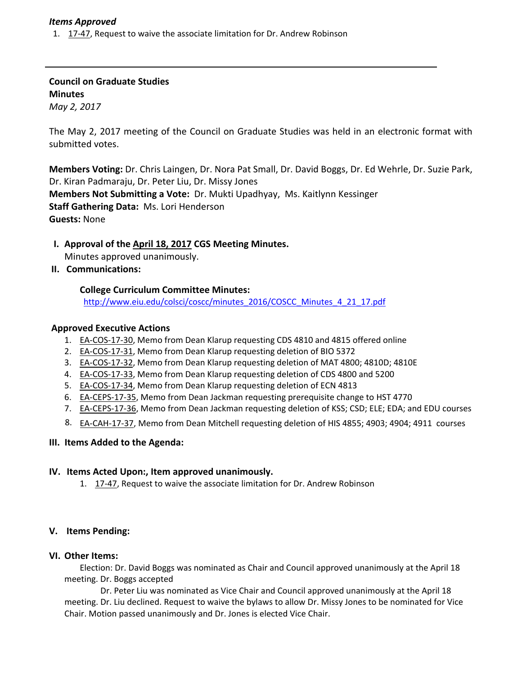## *Items Approved*

1. 17‐47, Request to waive the associate limitation for Dr. Andrew Robinson

**Council on Graduate Studies Minutes** *May 2, 2017*

The May 2, 2017 meeting of the Council on Graduate Studies was held in an electronic format with submitted votes.

**Members Voting:** Dr. Chris Laingen, Dr. Nora Pat Small, Dr. David Boggs, Dr. Ed Wehrle, Dr. Suzie Park, Dr. Kiran Padmaraju, Dr. Peter Liu, Dr. Missy Jones **Members Not Submitting a Vote:** Dr. Mukti Upadhyay, Ms. Kaitlynn Kessinger **Staff Gathering Data:** Ms. Lori Henderson **Guests:** None

- **I. Approval of the April 18, [2017](http://castle.eiu.edu/eiucgs/currentminutes/Minutes4-18-17.pdf) CGS Meeting Minutes.** Minutes approved unanimously.
- **II. Communications:**

## **College Curriculum Committee Minutes:**

[http://www.eiu.edu/colsci/coscc/minutes\\_2016/COSCC\\_Minutes\\_4\\_21\\_17.pdf](http://www.eiu.edu/colsci/coscc/minutes_2016/COSCC_Minutes_4_21_17.pdf)

## **Approved Executive Actions**

- 1. EA‐[COS](http://castle.eiu.edu/eiucgs/exec-actions/EA-COS-17-30.pdf)‐17‐30, Memo from Dean Klarup requesting CDS 4810 and 4815 offered online
- 2. EA‐[COS](http://castle.eiu.edu/eiucgs/exec-actions/EA-COS-17-31.pdf)‐17‐31, Memo from Dean Klarup requesting deletion of BIO 5372
- 3. EA‐[COS](http://castle.eiu.edu/eiucgs/exec-actions/EA-COS-17-32.pdf)‐17‐32, Memo from Dean Klarup requesting deletion of MAT 4800; 4810D; 4810E
- 4. EA‐[COS](http://castle.eiu.edu/eiucgs/exec-actions/EA-COS-17-33.pdf)‐17‐33, Memo from Dean Klarup requesting deletion of CDS 4800 and 5200
- 5. EA‐[COS](http://castle.eiu.edu/eiucgs/exec-actions/EA-COS-17-34.pdf)‐17‐34, Memo from Dean Klarup requesting deletion of ECN 4813
- 6. EA-[CEPS](http://castle.eiu.edu/eiucgs/exec-actions/EA-CEPS-17-35.pdf)-17-35, Memo from Dean Jackman requesting prerequisite change to HST 4770
- 7. EA-[CEPS](http://castle.eiu.edu/eiucgs/exec-actions/EA-CEPS-17-36.pdf)-17-36, Memo from Dean Jackman requesting deletion of KSS; CSD; ELE; EDA; and EDU courses
- 8. EA-C[AH](http://castle.eiu.edu/eiucgs/exec-actions/EA-CAH-17-37.pdf)-17-37, Memo from Dean Mitchell requesting deletion of HIS 4855; 4903; 4904; 4911 courses

#### **III. Items Added to the Agenda:**

#### **IV. Items Acted Upon:, Item approved unanimously.**

1. [17](http://castle.eiu.edu/eiucgs/currentagendaitems/agenda17-47.pdf)‐47, Request to waive the associate limitation for Dr. Andrew Robinson

# **V. Items Pending:**

#### **VI. Other Items:**

Election: Dr. David Boggs was nominated as Chair and Council approved unanimously at the April 18 meeting. Dr. Boggs accepted

Dr. Peter Liu was nominated as Vice Chair and Council approved unanimously at the April 18 meeting. Dr. Liu declined. Request to waive the bylaws to allow Dr. Missy Jones to be nominated for Vice Chair. Motion passed unanimously and Dr. Jones is elected Vice Chair.